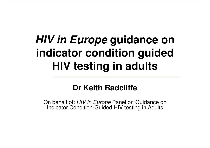# **HIV in Europe guidance on indicator condition guided HIV testing in adults**

### **Dr Keith Radcliffe**

On behalf of: *HIV in Europe* Panel on Guidance on<br>Indicater Candition Cuided HIV testing in Adulte Indicator Condition-Guided HIV testing in Adults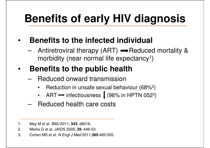# **Benefits of early HIV diagnosis**

#### •**Benefits to the infected individual**

and the state of the  $-$  Antiretroviral therapy (ART)  $\rightarrow$  Reduced mortality & morbidity (near normal life expectancy $^{\text{\tiny{\text{1}}}}$ )

#### •**Benefits to the public health**

- and the state of the Reduced onward transmission
	- Reduction in unsafe sexual behaviour (68%2 $\bullet$ )
	- $\bullet$ ART  $\rightarrow$  infectiousness  $\downarrow$  (96% in HPTN 052<sup>3</sup> 3)
- and the state of the Reduced health care costs
- 1. May M et al. BMJ 2011; **343**: d6016.
- 2. Marks G et al. JAIDS 2005; **39**: 446-53.
- 3. Cohen MS et al. N Engl J Med 2011;**365**:493-505.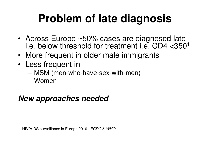# **Problem of late diagnosis**

- Across Europe ~50% cases are diagnosed late i.e. below threshold for treatment i.e.  $CD4 <$ 350<sup>1</sup>
- •More frequent in older male immigrants
- • Less frequent in
	- MSNI (man-wh MSM (men-who-have-sex-with-men)
	- and the state of the Women

### **New approaches needed**

1. HIV/AIDS surveillance in Europe 2010. ECDC & WHO.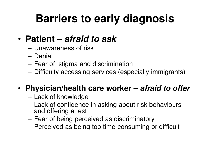# **Barriers to early diagnosis**

#### •**Patient – afraid to ask**

- and the state of the Unawareness of risk
- and the state of the **Denial**
- –Fear of stigma and discrimination
- and the state of the Difficulty accessing services (especially immigrants)

# • **Physician/health care worker – afraid to offer**

- and the state of the – Lack of knowledge
- and the state of the Lack of confidence in asking about risk behaviours and offering a test
- and the state of the Fear of being perceived as discriminatory
- and the state of the Perceived as being too time-consuming or difficult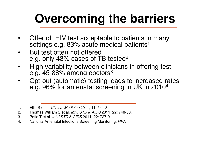# **Overcoming the barriers**

- • Offer of HIV test acceptable to patients in many settings e.g. 83% acute medical patients $^{\rm 1}$
- • But test often not offered e.g. only 43% cases of TB tested<sup>2</sup>
- High variability between clinicians in offering test •e.g. 45-88% among doctors $^3$
- Opt-out (automatic) testing leads to increased rates  $\bullet$ e.g. 96% for antenatal screening in UK in 2010<sup>4</sup>

- 2. Thomas William S et al. Int J STD & AIDS 2011; **22**: 748-50.
- 3. Petlo T et al. Int J STD & AIDS 2011; **22**: 727-9.
- 4. National Antenatal Infections Screening Monitoring. HPA.

<sup>1.</sup> Ellis S et al. Clinical Medicine 2011; **11**: 541-3.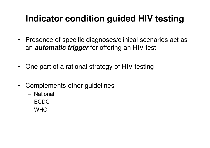## **Indicator condition guided HIV testing**

- Presence of specific diagnoses/clinical scenarios act as an **automatic trigger** for offering an HIV test
- One part of a rational strategy of HIV testing
- Complements other guidelines
	- –**National**
	- –ECDC
	- –WHO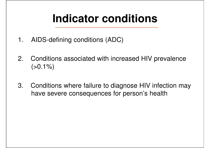# **Indicator conditions**

- 1. AIDS-defining conditions (ADC)
- 2. Conditions associated with increased HIV prevalence  $(>0.1\%)$
- 3. Conditions where failure to diagnose HIV infection may have severe consequences for person's health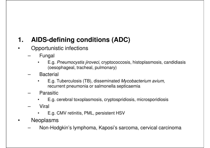### **1. AIDS-defining conditions (ADC)**

- • Opportunistic infections
	- – Fungal
		- • E.g. Pneumocystis jiroveci, cryptococcosis, histoplasmosis, candidiasis (oesophageal, tracheal, pulmonary)
	- – Bacterial
		- • E.g. Tuberculosis (TB), disseminated Mycobacterium avium, recurrent pneumonia or salmonella septicaemia
	- – Parasitic
		- E.g. cerebral toxoplasmosis, cryptospridiosis, microsporidiosis $\bullet$
	- – Viral
		- •E.g. CMV retinitis, PML, persistent HSV
- • Neoplasms
	- –Non-Hodgkin's lymphoma, Kaposi's sarcoma, cervical carcinoma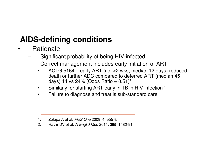### **AIDS-defining conditions**

- • Rationale
	- Significant probability of being HIV-infected–
	- Correct management includes early initiation of ART–
		- ACTG 5164 early ART (i.e. <2 wks; median 12 days) reduced •death or further ADC compared to deferred ART (median 45 days) 14 vs 24% (Odds Ratio = 0.51)<sup>1</sup>
		- •Similarly for starting ART early in TB in HIV infection2
		- $\bullet$ Failure to diagnose and treat is sub-standard care

2. Havlir DV et al. N Engl J Med 2011; **365**: 1482-91.

<sup>1.</sup> Zolopa A et al. PloS One 2009; **4**: e5575.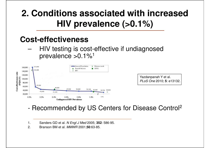## **2. Conditions associated with increased HIV prevalence (>0.1%)**

### **Cost-effectiveness**

- HIV testing is cost-effective if undiagnosed and the state of the prevalence >0.1%<sup>1</sup>



Yazdanpanah Y et al. PLoS One 2010; **5**: e13132.

#### -Recommended by US Centers for Disease Control 2

- 1. Sanders GD et al. N Engl J Med 2005; **352**: 586-95.
- 2. Branson BM et al. MMWR 2001;**50**:63-85.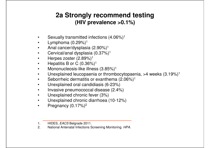### **2a Strongly recommend testing (HIV prevalence >0.1%)**

- •Sexually transmitted infections (4.06%)1
- •Lymphoma  $(0.29%)$ <sup>1</sup>
- Anal cancer/dysplasia (2.90%)<sup>1</sup> •
- •Cervical/anal dysplasia (0.37%)1
- •Herpes zoster (2.89%)<sup>1</sup>
- Hepatitis B or C (0.36%)<sup>1</sup> •
- •Mononucleosis-like illness (3.85%)<sup>1</sup>
- Unexplained leucopaenia or thrombocytopaenia, >4 weeks (3.19%)1 •
- •Seborrheic dermatitis or exanthema (2.06%)<sup>1</sup>
- •Unexplained oral candidiasis (6-23%)
- Invasive pneumococcal disease (2.4%)•
- •Unexplained chronic fever (3%)
- $\bullet$ Unexplained chronic diarrhoea (10-12%)
- •Pregnancy (0.17%)<sup>2</sup>

<sup>1.</sup> HIDES, *EACS* Belgrade 2011.

<sup>2.</sup> National Antenatal Infections Screening Monitoring. HPA.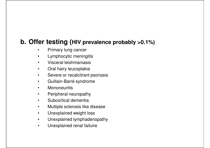### **b. Offer testing (HIV prevalence probably >0.1%)**

- •Primary lung cancer
- $\bullet$ Lymphocytic meningitis
- $\bullet$ Visceral leishmaniasis
- $\bullet$ Oral hairy leucoplakia
- Severe or recalcitrant psoriasis•
- $\bullet$ Guillain-Barré syndrome
- •**Mononeuritis**
- $\bullet$ Peripheral neuropathy
- $\bullet$ Subcortical dementia
- •Multiple sclerosis like disease
- $\bullet$ Unexplained weight loss
- Unexplained lymphadenopathy•
- $\bullet$ Unexplained renal failuire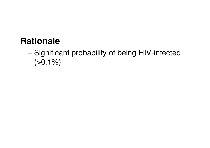### **Rationale**

#### –- Significant probability of being HIV-infected  $(>0.1\%)$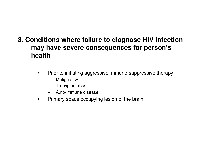### **3. Conditions where failure to diagnose HIV infection may have severe consequences for person's health**

- $\bullet$  Prior to initiating aggressive immuno-suppressive therapy
	- Malignancy
	- **Transplantation**
	- Auto-immune disease
- •Primary space occupying lesion of the brain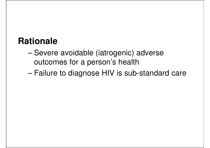### **Rationale**

- – Severe avoidable (iatrogenic) adverse outcomes for a person's health
- –Failure to diagnose HIV is sub-standard care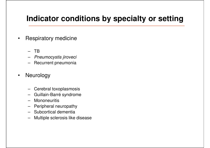### **Indicator conditions by specialty or setting**

- $\bullet$  Respiratory medicine
	- TB
	- Pneumocystis jiroveci
	- Recurrent pneumonia
- $\bullet$  Neurology
	- –Cerebral toxoplasmosis
	- Guillain-Barré syndrome–
	- –**Mononeuritis**
	- –Peripheral neuropathy
	- Subcortical dementia
	- Multiple sclerosis like disease–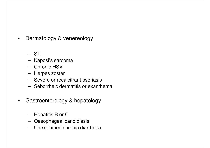- $\bullet$  Dermatology & venereology
	- –STI
	- –Kaposi's sarcoma
	- –Chronic HSV
	- Harnae zoei Herpes zoster
	- –Severe or recalcitrant psoriasis
	- –Seborrheic dermatitis or exanthema
- $\bullet$  Gastroenterology & hepatology
	- –Hepatitis B or C
	- Decophaneal I Oesophageal candidiasis
	- –Unexplained chronic diarrhoea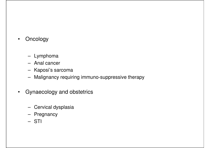- $\bullet$ **Oncology** 
	- –Lymphoma
	- –Anal cancer
	- –Kaposi's sarcoma
	- –Malignancy requiring immuno-suppressive therapy
- Gynaecology and obstetrics
	- –Cervical dysplasia
	- –Pregnancy
	- –STI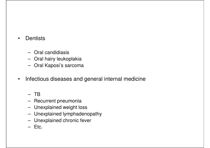- •**Dentists** 
	- –Oral candidiasis
	- –Oral hairy leukoplakia
	- –Oral Kaposi's sarcoma
- $\bullet$ Infectious diseases and general internal medicine

#### –TB

- –– Recurrent pneumonia
- –Unexplained weight loss
- –Unexplained lymphadenopathy
- –Unexplained chronic fever
- –Etc.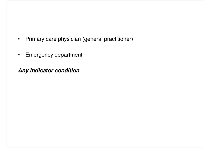- •Primary care physician (general practitioner)
- •Emergency department

**Any indicator condition**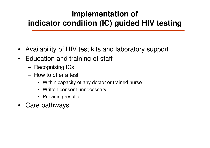### **Implementation of indicator condition (IC) guided HIV testing**

- Availability of HIV test kits and laboratory support
- Education and training of staff
	- –Recognising ICs
	- – How to offer a test
		- Within capacity of any doctor or trained nurse
		- Written consent unnecessary
		- Providing results
- Care pathways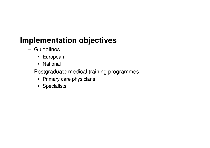### **Implementation objectives**

- – Guidelines
	- European
	- National
- – Postgraduate medical training programmes
	- Primary care physicians
	- Specialists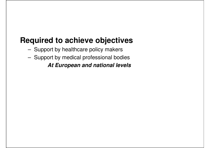### **Required to achieve objectives**

- – $-$  Support by healthcare policy makers
- –Support by medical professional bodies

**At European and national levels**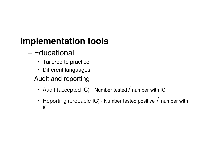## **Implementation tools**

- – $-$  Educational
	- Tailored to practice
	- Different languages
- and the state of the Audit and reporting
	- Audit (accepted IC) Number tested  $\prime$  number with IC
	- Reporting (probable IC) - Number tested positive  $/$  number with IC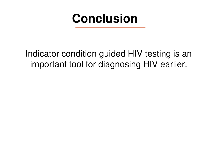# **Conclusion**

Indicator condition guided HIV testing is an important tool for diagnosing HIV earlier.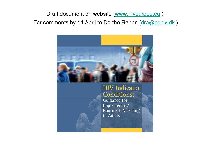### Draft document on website (<u>www.hiveurope.eu</u> ) For comments by 14 April to Dorthe Raben (dra@cphiv.dk)



#### **HIV** Indicator **Conditions:**

Guidance for Implementing Routine HIV testing in Adults